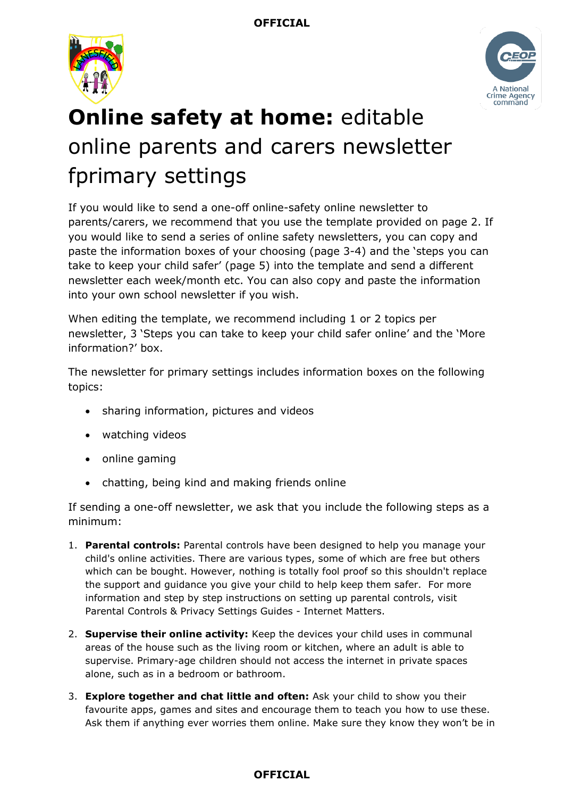



## **Online safety at home:** editable online parents and carers newsletter fprimary settings

If you would like to send a one-off online-safety online newsletter to parents/carers, we recommend that you use the template provided on page 2. If you would like to send a series of online safety newsletters, you can copy and paste the information boxes of your choosing (page 3-4) and the 'steps you can take to keep your child safer' (page 5) into the template and send a different newsletter each week/month etc. You can also copy and paste the information into your own school newsletter if you wish.

When editing the template, we recommend including 1 or 2 topics per newsletter, 3 'Steps you can take to keep your child safer online' and the 'More information?' box.

The newsletter for primary settings includes information boxes on the following topics:

- sharing information, pictures and videos
- watching videos
- online gaming
- chatting, being kind and making friends online

If sending a one-off newsletter, we ask that you include the following steps as a minimum:

- 1. **Parental controls:** Parental controls have been designed to help you manage your child's online activities. There are various types, some of which are free but others which can be bought. However, nothing is totally fool proof so this shouldn't replace the support and guidance you give your child to help keep them safer. For more information and step by step instructions on setting up parental controls, visit Parental Controls & Privacy Settings Guides - Internet Matters.
- 2. **Supervise their online activity:** Keep the devices your child uses in communal areas of the house such as the living room or kitchen, where an adult is able to supervise. Primary-age children should not access the internet in private spaces alone, such as in a bedroom or bathroom.
- 3. **Explore together and chat little and often:** Ask your child to show you their favourite apps, games and sites and encourage them to teach you how to use these. Ask them if anything ever worries them online. Make sure they know they won't be in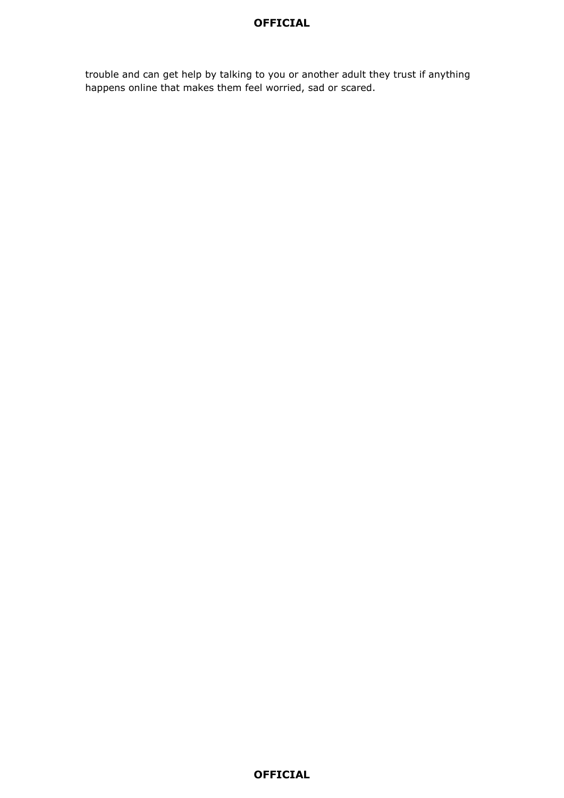#### **OFFICIAL**

trouble and can get help by talking to you or another adult they trust if anything happens online that makes them feel worried, sad or scared.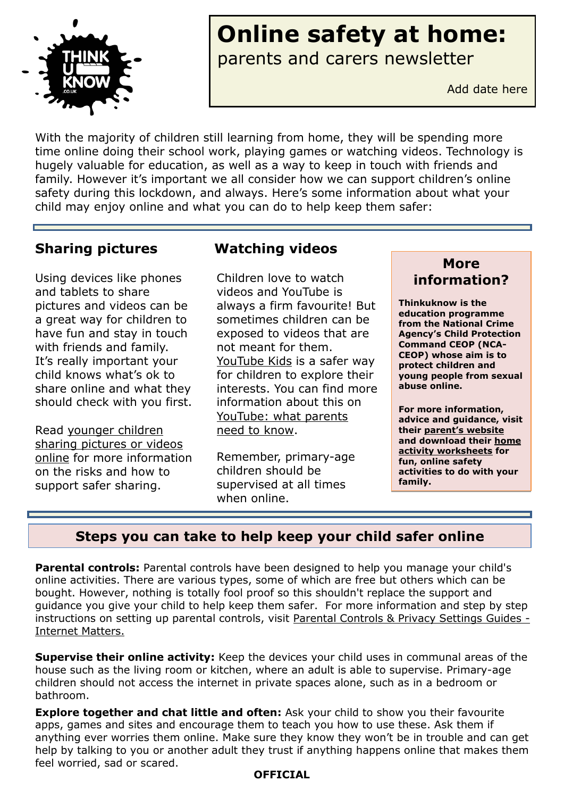

# **Online safety at home:**

parents and carers newsletter

Add date here

With the majority of children still learning from home, they will be spending more time online doing their school work, playing games or watching videos. Technology is hugely valuable for education, as well as a way to keep in touch with friends and family. However it's important we all consider how we can support children's online safety during this lockdown, and always. Here's some information about what your child may enjoy online and what you can do to help keep them safer:

## **Sharing pictures**

Using devices like phones and tablets to share pictures and videos can be a great way for children to have fun and stay in touch with friends and family. It's really important your child knows what's ok to share online and what they should check with you first.

Read [younger children](https://www.thinkuknow.co.uk/parents/articles/Has-your-child-shared-a-picture-or-video-online-/)  [sharing pictures or videos](https://www.thinkuknow.co.uk/parents/articles/Has-your-child-shared-a-picture-or-video-online-/)  [online](https://www.thinkuknow.co.uk/parents/articles/Has-your-child-shared-a-picture-or-video-online-/) for more information on the risks and how to support safer sharing.

## **Watching videos**

Children love to watch videos and YouTube is always a firm favourite! But sometimes children can be exposed to videos that are not meant for them. [YouTube Kids](https://www.youtube.com/kids/) is a safer way for children to explore their interests. You can find more information about this on YouTube: what parents need to know.

Remember, primary-age children should be supervised at all times when online.



**Thinkuknow is the education programme from the National Crime Agency's Child Protection Command CEOP (NCA-CEOP) whose aim is to protect children and young people from sexual abuse online.** 

**For more information, advice and guidance, visit their parent'[s website](http://www.thinkuknow.co.uk/parents) and download their [home](https://www.thinkuknow.co.uk/parents/Support-tools/home-activity-worksheets/)  [activity worksheets](https://www.thinkuknow.co.uk/parents/Support-tools/home-activity-worksheets/) for fun, online safety activities to do with your family.** 

## **Steps you can take to help keep your child safer online**

**Parental controls:** Parental controls have been designed to help you manage your child's online activities. There are various types, some of which are free but others which can be bought. However, nothing is totally fool proof so this shouldn't replace the support and guidance you give your child to help keep them safer. For more information and step by step instructions on setting up parental controls, visit [Parental Controls & Privacy Settings Guides -](https://www.internetmatters.org/parental-controls/) [Internet Matters.](https://www.internetmatters.org/parental-controls/)

**Supervise their online activity:** Keep the devices your child uses in communal areas of the house such as the living room or kitchen, where an adult is able to supervise. Primary-age children should not access the internet in private spaces alone, such as in a bedroom or bathroom.

**Explore together and chat little and often:** Ask your child to show you their favourite apps, games and sites and encourage them to teach you how to use these. Ask them if anything ever worries them online. Make sure they know they won't be in trouble and can get help by talking to you or another adult they trust if anything happens online that makes them feel worried, sad or scared.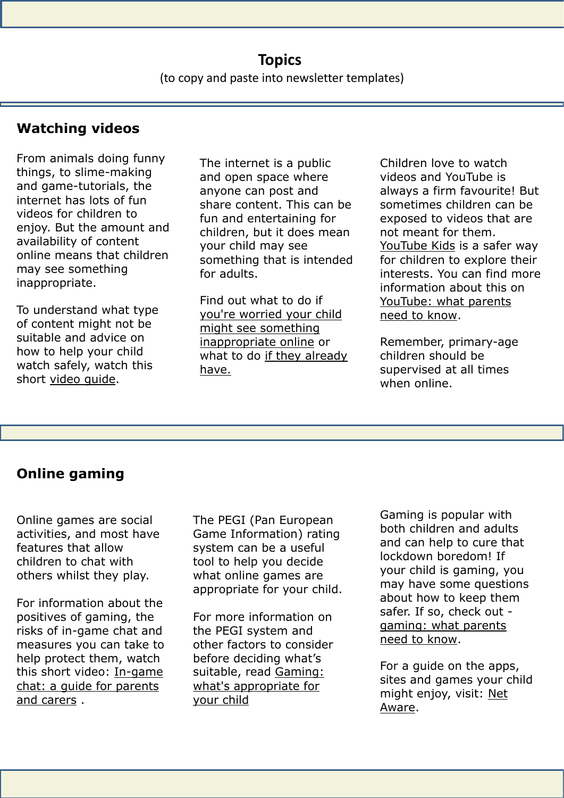**OFFICIAL**

## **Watching videos**

From animals doing funny things, to slime-making and game-tutorials, the internet has lots of fun videos for children to enjoy. But the amount and availability of content online means that children may see something inappropriate.

To understand what type of content might not be suitable and advice on how to help your child watch safely, watch this short [video guide.](https://youtu.be/ykrwlhDavJs)

The internet is a public and open space where anyone can post and share content. This can be fun and entertaining for children, but it does mean your child may see something that is intended for adults.

Find out what to do if [you're worried your child](https://www.thinkuknow.co.uk/parents/articles/Im-worried-my-primary-aged-child-might-see-something-inappropriate-online/)  [might see something](https://www.thinkuknow.co.uk/parents/articles/Im-worried-my-primary-aged-child-might-see-something-inappropriate-online/)  [inappropriate online](https://www.thinkuknow.co.uk/parents/articles/Im-worried-my-primary-aged-child-might-see-something-inappropriate-online/) or what to do [if they already](https://www.thinkuknow.co.uk/parents/articles/what-to-do-if-your-child-has-seen-something-inappropriate-online/) [have.](https://www.thinkuknow.co.uk/parents/articles/what-to-do-if-your-child-has-seen-something-inappropriate-online/) 

Children love to watch videos and YouTube is always a firm favourite! But sometimes children can be exposed to videos that are not meant for them. [YouTube Kids](https://www.youtube.com/kids/) is a safer way for children to explore their interests. You can find more information about this on YouTube: what parents need to know.

Remember, primary-age children should be supervised at all times when online.

## **Online gaming**

Online games are social activities, and most have features that allow children to chat with others whilst they play.

For information about the positives of gaming, the risks of in-game chat and measures you can take to help protect them, watch this short video: [In-game](https://www.youtube.com/watch?v=_5-ij1jm9K8&feature=emb_title)  [chat: a guide for parents](https://www.youtube.com/watch?v=_5-ij1jm9K8&feature=emb_title)  [and carers](https://www.youtube.com/watch?v=_5-ij1jm9K8&feature=emb_title) .

The PEGI (Pan European Game Information) rating system can be a useful tool to help you decide what online games are appropriate for your child.

For more information on the PEGI system and other factors to consider before deciding what's suitable, read [Gaming:](https://www.thinkuknow.co.uk/parents/articles/gaming-whats-appropriate-for-your-child/)  [what's appropriate for](https://www.thinkuknow.co.uk/parents/articles/gaming-whats-appropriate-for-your-child/)  [your child](https://www.thinkuknow.co.uk/parents/articles/gaming-whats-appropriate-for-your-child/)

**OFFICIAL** 

Gaming is popular with both children and adults and can help to cure that lockdown boredom! If your child is gaming, you may have some questions about how to keep them safer. If so, check out [gaming: what parents](https://www.thinkuknow.co.uk/parents/articles/gaming/)  [need to know.](https://www.thinkuknow.co.uk/parents/articles/gaming/)

For a guide on the apps, sites and games your child might enjoy, visit: [Net](https://www.net-aware.org.uk/)  [Aware.](https://www.net-aware.org.uk/)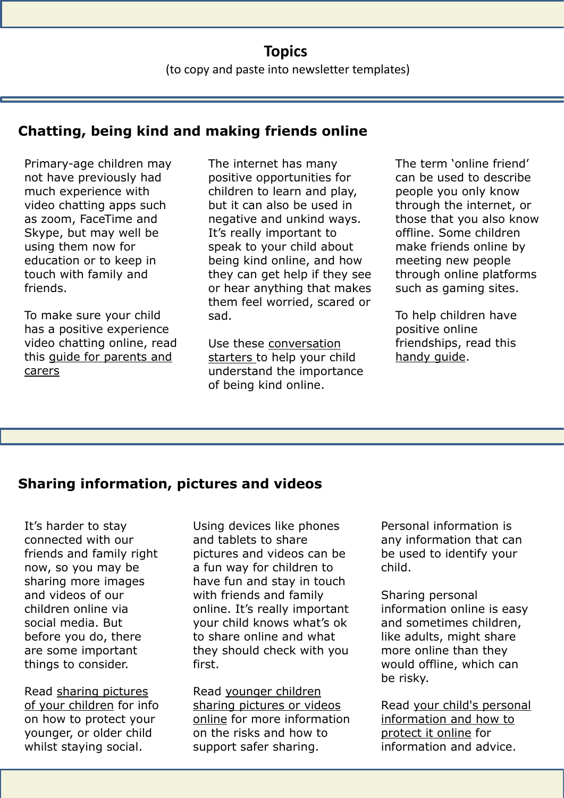## **Topics** (to copy and paste into newsletter templates)

**OFFICIAL**

## **Chatting, being kind and making friends online**

Primary-age children may not have previously had much experience with video chatting apps such as zoom, FaceTime and Skype, but may well be using them now for education or to keep in touch with family and friends.

To make sure your child has a positive experience video chatting online, read this [guide for parents and](https://parentinfo.org/article/video-chatting-a-guide-for-parents-and-carers-of-primary-school-age-children)  [carers](https://parentinfo.org/article/video-chatting-a-guide-for-parents-and-carers-of-primary-school-age-children)

The internet has many positive opportunities for children to learn and play, but it can also be used in negative and unkind ways. It's really important to speak to your child about being kind online, and how they can get help if they see or hear anything that makes them feel worried, scared or sad.

Use these [conversation](https://parentinfo.org/article/talking-to-your-child-about-being-kind-online)  [starters t](https://parentinfo.org/article/talking-to-your-child-about-being-kind-online)o help your child understand the importance of being kind online.

The term 'online friend' can be used to describe people you only know through the internet, or those that you also know offline. Some children make friends online by meeting new people through online platforms such as gaming sites.

To help children have positive online friendships, read this [handy guide.](https://parentinfo.org/article/online-friendships-a-parents-guide)

## **Sharing information, pictures and videos**

It's harder to stay connected with our friends and family right now, so you may be sharing more images and videos of our children online via social media. But before you do, there are some important things to consider.

Read [sharing pictures](https://www.thinkuknow.co.uk/parents/articles/Sharing-pictures-of-your-children/)  [of your children](https://www.thinkuknow.co.uk/parents/articles/Sharing-pictures-of-your-children/) for info on how to protect your younger, or older child whilst staying social.

Using devices like phones and tablets to share pictures and videos can be a fun way for children to have fun and stay in touch with friends and family online. It's really important your child knows what's ok to share online and what they should check with you first.

Read [younger children](https://www.thinkuknow.co.uk/parents/articles/Has-your-child-shared-a-picture-or-video-online-/)  [sharing pictures or videos](https://www.thinkuknow.co.uk/parents/articles/Has-your-child-shared-a-picture-or-video-online-/)  [online](https://www.thinkuknow.co.uk/parents/articles/Has-your-child-shared-a-picture-or-video-online-/) for more information on the risks and how to support safer sharing.

Personal information is any information that can be used to identify your child.

Sharing personal information online is easy and sometimes children, like adults, might share more online than they would offline, which can be risky.

Read [your child's personal](https://parentinfo.org/article/your-child-s-personal-information-and-how-to-protect-it-online-primary)  [information and how to](https://parentinfo.org/article/your-child-s-personal-information-and-how-to-protect-it-online-primary)  [protect it online](https://parentinfo.org/article/your-child-s-personal-information-and-how-to-protect-it-online-primary) for information and advice.